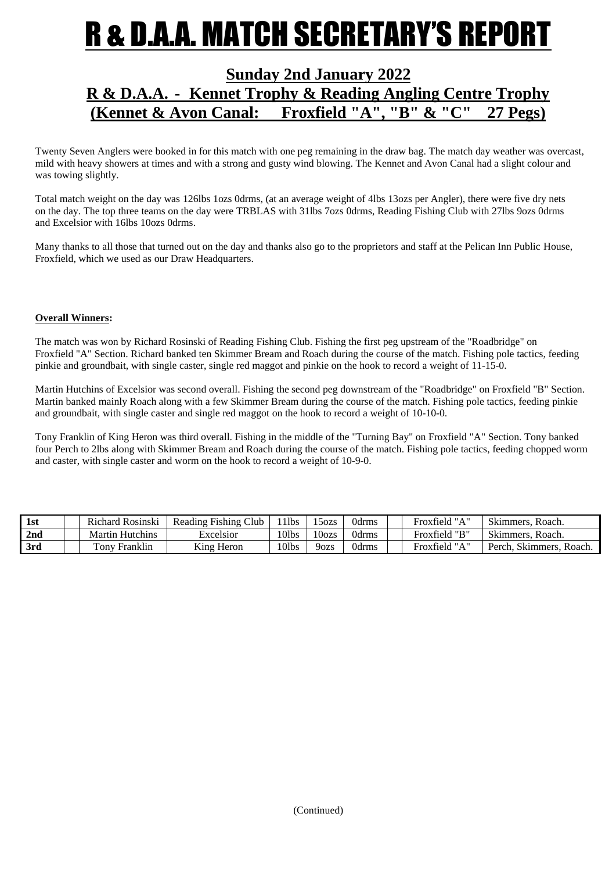### **R & D.A.A. MATCH SECRETARY'S REPOI**

### **Sunday 2nd January 2022 R & D.A.A. - Kennet Trophy & Reading Angling Centre Trophy (Kennet & Avon Canal: Froxfield "A", "B" & "C" 27 Pegs)**

Twenty Seven Anglers were booked in for this match with one peg remaining in the draw bag. The match day weather was overcast, mild with heavy showers at times and with a strong and gusty wind blowing. The Kennet and Avon Canal had a slight colour and was towing slightly.

Total match weight on the day was 126lbs 1ozs 0drms, (at an average weight of 4lbs 13ozs per Angler), there were five dry nets on the day. The top three teams on the day were TRBLAS with 31lbs 7ozs 0drms, Reading Fishing Club with 27lbs 9ozs 0drms and Excelsior with 16lbs 10ozs 0drms.

Many thanks to all those that turned out on the day and thanks also go to the proprietors and staff at the Pelican Inn Public House, Froxfield, which we used as our Draw Headquarters.

#### **Overall Winners:**

The match was won by Richard Rosinski of Reading Fishing Club. Fishing the first peg upstream of the "Roadbridge" on Froxfield "A" Section. Richard banked ten Skimmer Bream and Roach during the course of the match. Fishing pole tactics, feeding pinkie and groundbait, with single caster, single red maggot and pinkie on the hook to record a weight of 11-15-0.

Martin Hutchins of Excelsior was second overall. Fishing the second peg downstream of the "Roadbridge" on Froxfield "B" Section. Martin banked mainly Roach along with a few Skimmer Bream during the course of the match. Fishing pole tactics, feeding pinkie and groundbait, with single caster and single red maggot on the hook to record a weight of 10-10-0.

Tony Franklin of King Heron was third overall. Fishing in the middle of the "Turning Bay" on Froxfield "A" Section. Tony banked four Perch to 2lbs along with Skimmer Bream and Roach during the course of the match. Fishing pole tactics, feeding chopped worm and caster, with single caster and worm on the hook to record a weight of 10-9-0.

| 1st             | $\mathbf{r}$ .<br>Richard Rosinski | Club<br>Reading Fishing | 1lbs  | 50ZS       | Udrms | Froxfield "A"             | Roach<br>Skimmers.            |
|-----------------|------------------------------------|-------------------------|-------|------------|-------|---------------------------|-------------------------------|
| 2 <sub>nd</sub> | Martin Hutchins                    | Excelsior               | 10lbs | $10_{0ZS}$ | 0drms | Froxfield "B"             | Skimmers.<br>Roach.           |
| 3rd             | Franklin<br>`onv                   | <b>King Heron</b>       | 10lbs | 9ozs       | 0drms | $r$ roxfield " $\Delta$ " | Perch.<br>Roach.<br>Skimmers. |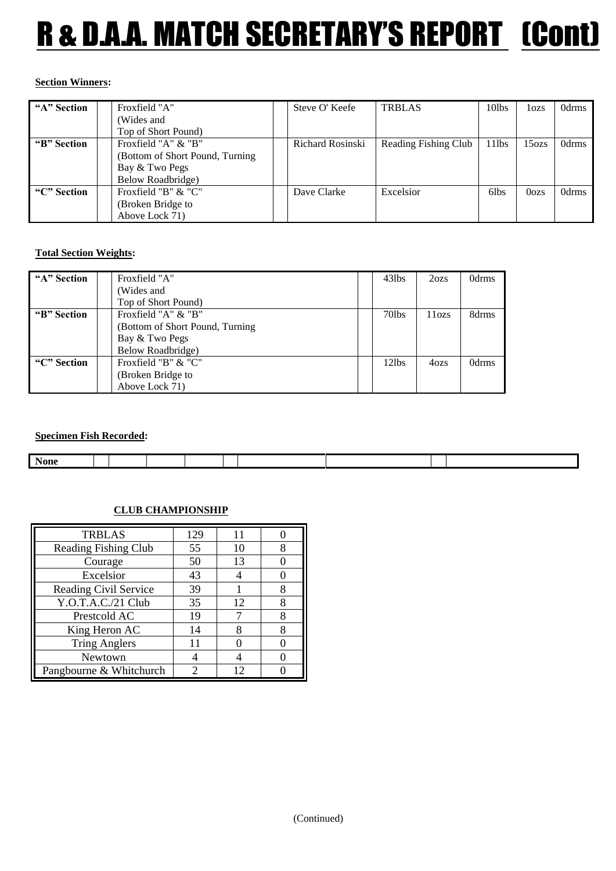# **R & D.A.A. MATCH SECRETARY'S REPORT [Cont]**

#### **Section Winners:**

| "A" Section | Froxfield "A"                    | Steve O'Keefe    | <b>TRBLAS</b>        | 10 <sub>l</sub> bs | 1 <sub>ozs</sub>  | 0drms |
|-------------|----------------------------------|------------------|----------------------|--------------------|-------------------|-------|
|             | (Wides and                       |                  |                      |                    |                   |       |
|             | Top of Short Pound)              |                  |                      |                    |                   |       |
| "B" Section | Froxfield " $A$ " & " $B$ "      | Richard Rosinski | Reading Fishing Club | $11$ lbs           | 15 <sub>ozs</sub> | 0drms |
|             | (Bottom of Short Pound, Turning) |                  |                      |                    |                   |       |
|             | Bay & Two Pegs                   |                  |                      |                    |                   |       |
|             | Below Roadbridge)                |                  |                      |                    |                   |       |
| "C" Section | Froxfield "B" & "C"              | Dave Clarke      | Excelsior            | 6lbs               | 0 <sub>o</sub>    | 0drms |
|             | (Broken Bridge to                |                  |                      |                    |                   |       |
|             | Above Lock 71)                   |                  |                      |                    |                   |       |

#### **Total Section Weights:**

| "A" Section | Froxfield "A"                    | 43lbs    | 2ozs  | 0drms |
|-------------|----------------------------------|----------|-------|-------|
|             | (Wides and                       |          |       |       |
|             | Top of Short Pound)              |          |       |       |
| "B" Section | Froxfield " $A$ " & " $B$ "      | $70$ lbs | 11ozs | 8drms |
|             | (Bottom of Short Pound, Turning) |          |       |       |
|             | Bay & Two Pegs                   |          |       |       |
|             | Below Roadbridge)                |          |       |       |
| "C" Section | Froxfield "B" & "C"              | $12$ lbs | 4ozs  | 0drms |
|             | (Broken Bridge to                |          |       |       |
|             | Above Lock 71)                   |          |       |       |

#### **Specimen Fish Recorded:**

| <b>None</b> |  |  |  |  |  |
|-------------|--|--|--|--|--|
|             |  |  |  |  |  |

### **CLUB CHAMPIONSHIP**

| <b>TRBLAS</b>                | 129 | 11 |  |
|------------------------------|-----|----|--|
| Reading Fishing Club         | 55  | 10 |  |
| Courage                      | 50  | 13 |  |
| Excelsior                    | 43  |    |  |
| <b>Reading Civil Service</b> | 39  |    |  |
| Y.O.T.A.C./21 Club           | 35  | 12 |  |
| Prestcold AC                 | 19  |    |  |
| King Heron AC                | 14  |    |  |
| <b>Tring Anglers</b>         | 11  |    |  |
| Newtown                      |     |    |  |
| Pangbourne & Whitchurch      |     | 12 |  |